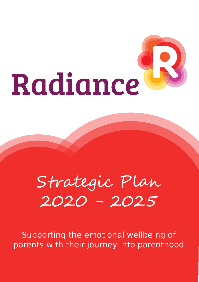# Radiance

# Strategic Plan 2020 - 2025

Supporting the emotional wellbeing of parents with their journey into parenthood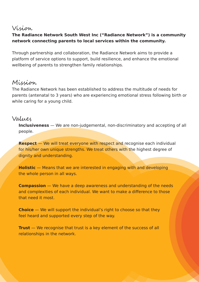# Vision

# **The Radiance Network South West Inc ("Radiance Network") is a community network connecting parents to local services within the community.**

Through partnership and collaboration, the Radiance Network aims to provide a platform of service options to support, build resilience, and enhance the emotional wellbeing of parents to strengthen family relationships.

# Mission

The Radiance Network has been established to address the multitude of needs for parents (antenatal to 3 years) who are experiencing emotional stress following birth or while caring for a young child.

# Values

**Inclusiveness** — We are non-judgemental, non-discriminatory and accepting of all people.

**Respect** – We will treat everyone with respect and recognise each individual for his/her own unique strengths. We treat others with the highest degree of dignity and understanding.

**Holistic** — Means that we are interested in engaging with and developing the whole person in all ways.

**Compassion** — We have a deep awareness and understanding of the needs and complexities of each individual. We want to make a difference to those that need it most.

**Choice** — We will support the individual's right to choose so that they feel heard and supported every step of the way.

**Trust** – We recognise that trust is a key element of the success of all relationships in the network.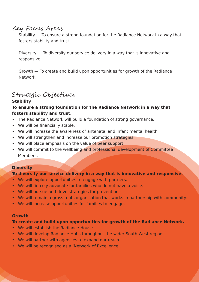# Key Focus Areas

Stability — To ensure a strong foundation for the Radiance Network in a way that fosters stability and trust.

Diversity — To diversify our service delivery in a way that is innovative and responsive.

Growth — To create and build upon opportunities for growth of the Radiance Network.

# Strategic Objectives

# **Stability**

# **To ensure a strong foundation for the Radiance Network in a way that fosters stability and trust.**

- The Radiance Network will build a foundation of strong governance.
- We will be financially stable.
- We will increase the awareness of antenatal and infant mental health.
- We will strengthen and increase our promotion strategies.
- We will place emphasis on the value of peer support.
- We will commit to the wellbeing and professional development of Committee Members.

# **Diversity**

# **To diversify our service delivery in a way that is innovative and responsive.**

- We will explore opportunities to engage with partners.
- We will fiercely advocate for families who do not have a voice.
- We will pursue and drive strategies for prevention.
- We will remain a grass roots organisation that works in partnership with community.
- We will increase opportunities for families to engage.

### **Growth**

# **To create and build upon opportunities for growth of the Radiance Network.**

- We will establish the Radiance House.
- We will develop Radiance Hubs throughout the wider South West region.
- We will partner with agencies to expand our reach.
- We will be recognised as a 'Network of Excellence'.